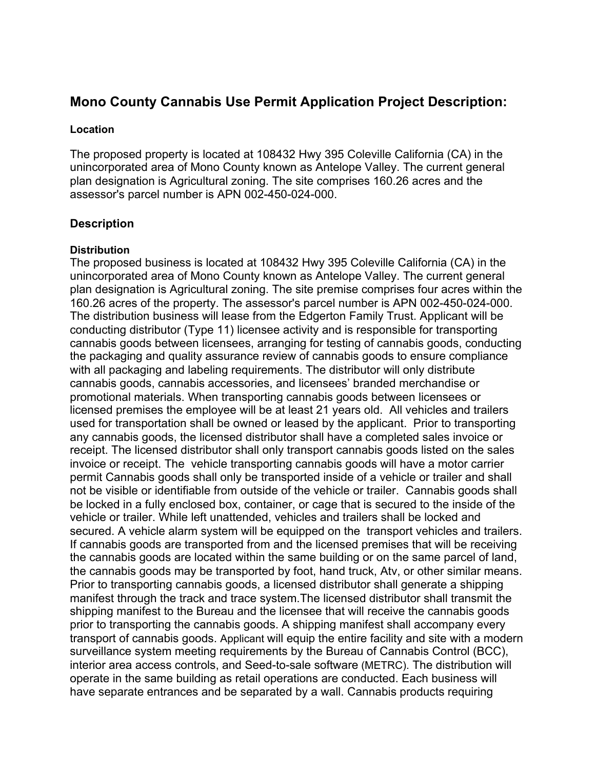## **Mono County Cannabis Use Permit Application Project Description:**

## **Location**

The proposed property is located at 108432 Hwy 395 Coleville California (CA) in the unincorporated area of Mono County known as Antelope Valley. The current general plan designation is Agricultural zoning. The site comprises 160.26 acres and the assessor's parcel number is APN 002-450-024-000.

## **Description**

## **Distribution**

The proposed business is located at 108432 Hwy 395 Coleville California (CA) in the unincorporated area of Mono County known as Antelope Valley. The current general plan designation is Agricultural zoning. The site premise comprises four acres within the 160.26 acres of the property. The assessor's parcel number is APN 002-450-024-000. The distribution business will lease from the Edgerton Family Trust. Applicant will be conducting distributor (Type 11) licensee activity and is responsible for transporting cannabis goods between licensees, arranging for testing of cannabis goods, conducting the packaging and quality assurance review of cannabis goods to ensure compliance with all packaging and labeling requirements. The distributor will only distribute cannabis goods, cannabis accessories, and licensees' branded merchandise or promotional materials. When transporting cannabis goods between licensees or licensed premises the employee will be at least 21 years old. All vehicles and trailers used for transportation shall be owned or leased by the applicant. Prior to transporting any cannabis goods, the licensed distributor shall have a completed sales invoice or receipt. The licensed distributor shall only transport cannabis goods listed on the sales invoice or receipt. The vehicle transporting cannabis goods will have a motor carrier permit Cannabis goods shall only be transported inside of a vehicle or trailer and shall not be visible or identifiable from outside of the vehicle or trailer. Cannabis goods shall be locked in a fully enclosed box, container, or cage that is secured to the inside of the vehicle or trailer. While left unattended, vehicles and trailers shall be locked and secured. A vehicle alarm system will be equipped on the transport vehicles and trailers. If cannabis goods are transported from and the licensed premises that will be receiving the cannabis goods are located within the same building or on the same parcel of land, the cannabis goods may be transported by foot, hand truck, Atv, or other similar means. Prior to transporting cannabis goods, a licensed distributor shall generate a shipping manifest through the track and trace system.The licensed distributor shall transmit the shipping manifest to the Bureau and the licensee that will receive the cannabis goods prior to transporting the cannabis goods. A shipping manifest shall accompany every transport of cannabis goods. Applicant will equip the entire facility and site with a modern surveillance system meeting requirements by the Bureau of Cannabis Control (BCC), interior area access controls, and Seed-to-sale software (METRC). The distribution will operate in the same building as retail operations are conducted. Each business will have separate entrances and be separated by a wall. Cannabis products requiring